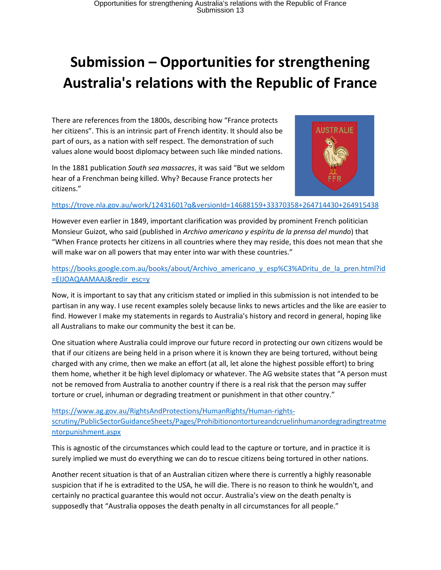# **Submission – Opportunities for strengthening Australia's relations with the Republic of France**

There are references from the 1800s, describing how "France protects her citizens". This is an intrinsic part of French identity. It should also be part of ours, as a nation with self respect. The demonstration of such values alone would boost diplomacy between such like minded nations.

In the 1881 publication *South sea massacres*, it was said "But we seldom hear of a Frenchman being killed. Why? Because France protects her citizens."



#### <https://trove.nla.gov.au/work/12431601?q&versionId=14688159+33370358+264714430+264915438>

However even earlier in 1849, important clarification was provided by prominent French politician Monsieur Guizot, who said (published in *Archivo americano y espíritu de la prensa del mundo*) that "When France protects her citizens in all countries where they may reside, this does not mean that she will make war on all powers that may enter into war with these countries."

## [https://books.google.com.au/books/about/Archivo\\_americano\\_y\\_esp%C3%ADritu\\_de\\_la\\_pren.html?id](https://books.google.com.au/books/about/Archivo_americano_y_esp%C3%ADritu_de_la_pren.html?id=EIJOAQAAMAAJ&redir_esc=y) [=EIJOAQAAMAAJ&redir\\_esc=y](https://books.google.com.au/books/about/Archivo_americano_y_esp%C3%ADritu_de_la_pren.html?id=EIJOAQAAMAAJ&redir_esc=y)

Now, it is important to say that any criticism stated or implied in this submission is not intended to be partisan in any way. I use recent examples solely because links to news articles and the like are easier to find. However I make my statements in regards to Australia's history and record in general, hoping like all Australians to make our community the best it can be.

One situation where Australia could improve our future record in protecting our own citizens would be that if our citizens are being held in a prison where it is known they are being tortured, without being charged with any crime, then we make an effort (at all, let alone the highest possible effort) to bring them home, whether it be high level diplomacy or whatever. The AG website states that "A person must not be removed from Australia to another country if there is a real risk that the person may suffer torture or cruel, inhuman or degrading treatment or punishment in that other country."

[https://www.ag.gov.au/RightsAndProtections/HumanRights/Human-rights](https://www.ag.gov.au/RightsAndProtections/HumanRights/Human-rights-scrutiny/PublicSectorGuidanceSheets/Pages/Prohibitionontortureandcruelinhumanordegradingtreatmentorpunishment.aspx)[scrutiny/PublicSectorGuidanceSheets/Pages/Prohibitionontortureandcruelinhumanordegradingtreatme](https://www.ag.gov.au/RightsAndProtections/HumanRights/Human-rights-scrutiny/PublicSectorGuidanceSheets/Pages/Prohibitionontortureandcruelinhumanordegradingtreatmentorpunishment.aspx) [ntorpunishment.aspx](https://www.ag.gov.au/RightsAndProtections/HumanRights/Human-rights-scrutiny/PublicSectorGuidanceSheets/Pages/Prohibitionontortureandcruelinhumanordegradingtreatmentorpunishment.aspx)

This is agnostic of the circumstances which could lead to the capture or torture, and in practice it is surely implied we must do everything we can do to rescue citizens being tortured in other nations.

Another recent situation is that of an Australian citizen where there is currently a highly reasonable suspicion that if he is extradited to the USA, he will die. There is no reason to think he wouldn't, and certainly no practical guarantee this would not occur. Australia's view on the death penalty is supposedly that "Australia opposes the death penalty in all circumstances for all people."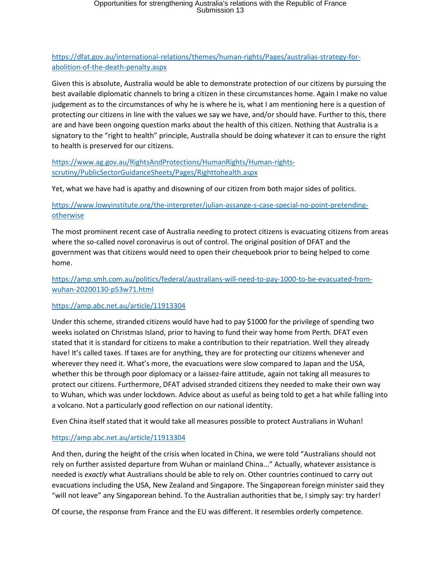# Opportunities for strengthening Australia's relations with the Republic of France Submission 13

# [https://dfat.gov.au/international-relations/themes/human-rights/Pages/australias-strategy-for](https://dfat.gov.au/international-relations/themes/human-rights/Pages/australias-strategy-for-abolition-of-the-death-penalty.aspx)[abolition-of-the-death-penalty.aspx](https://dfat.gov.au/international-relations/themes/human-rights/Pages/australias-strategy-for-abolition-of-the-death-penalty.aspx)

Given this is absolute, Australia would be able to demonstrate protection of our citizens by pursuing the best available diplomatic channels to bring a citizen in these circumstances home. Again I make no value judgement as to the circumstances of why he is where he is, what I am mentioning here is a question of protecting our citizens in line with the values we say we have, and/or should have. Further to this, there are and have been ongoing question marks about the health of this citizen. Nothing that Australia is a signatory to the "right to health" principle, Australia should be doing whatever it can to ensure the right to health is preserved for our citizens.

[https://www.ag.gov.au/RightsAndProtections/HumanRights/Human-rights](https://www.ag.gov.au/RightsAndProtections/HumanRights/Human-rights-scrutiny/PublicSectorGuidanceSheets/Pages/Righttohealth.aspx)[scrutiny/PublicSectorGuidanceSheets/Pages/Righttohealth.aspx](https://www.ag.gov.au/RightsAndProtections/HumanRights/Human-rights-scrutiny/PublicSectorGuidanceSheets/Pages/Righttohealth.aspx)

Yet, what we have had is apathy and disowning of our citizen from both major sides of politics.

## [https://www.lowyinstitute.org/the-interpreter/julian-assange-s-case-special-no-point-pretending](https://www.lowyinstitute.org/the-interpreter/julian-assange-s-case-special-no-point-pretending-otherwise)[otherwise](https://www.lowyinstitute.org/the-interpreter/julian-assange-s-case-special-no-point-pretending-otherwise)

The most prominent recent case of Australia needing to protect citizens is evacuating citizens from areas where the so-called novel coronavirus is out of control. The original position of DFAT and the government was that citizens would need to open their chequebook prior to being helped to come home.

[https://amp.smh.com.au/politics/federal/australians-will-need-to-pay-1000-to-be-evacuated-from](https://amp.smh.com.au/politics/federal/australians-will-need-to-pay-1000-to-be-evacuated-from-wuhan-20200130-p53w71.html)[wuhan-20200130-p53w71.html](https://amp.smh.com.au/politics/federal/australians-will-need-to-pay-1000-to-be-evacuated-from-wuhan-20200130-p53w71.html)

#### <https://amp.abc.net.au/article/11913304>

Under this scheme, stranded citizens would have had to pay \$1000 for the privilege of spending two weeks isolated on Christmas Island, prior to having to fund their way home from Perth. DFAT even stated that it is standard for citizens to make a contribution to their repatriation. Well they already have! It's called taxes. If taxes are for anything, they are for protecting our citizens whenever and wherever they need it. What's more, the evacuations were slow compared to Japan and the USA, whether this be through poor diplomacy or a laissez-faire attitude, again not taking all measures to protect our citizens. Furthermore, DFAT advised stranded citizens they needed to make their own way to Wuhan, which was under lockdown. Advice about as useful as being told to get a hat while falling into a volcano. Not a particularly good reflection on our national identity.

Even China itself stated that it would take all measures possible to protect Australians in Wuhan!

#### <https://amp.abc.net.au/article/11913304>

And then, during the height of the crisis when located in China, we were told "Australians should not rely on further assisted departure from Wuhan or mainland China..." Actually, whatever assistance is needed is *exactly* what Australians should be able to rely on. Other countries continued to carry out evacuations including the USA, New Zealand and Singapore. The Singaporean foreign minister said they "will not leave" any Singaporean behind. To the Australian authorities that be, I simply say: try harder!

Of course, the response from France and the EU was different. It resembles orderly competence.